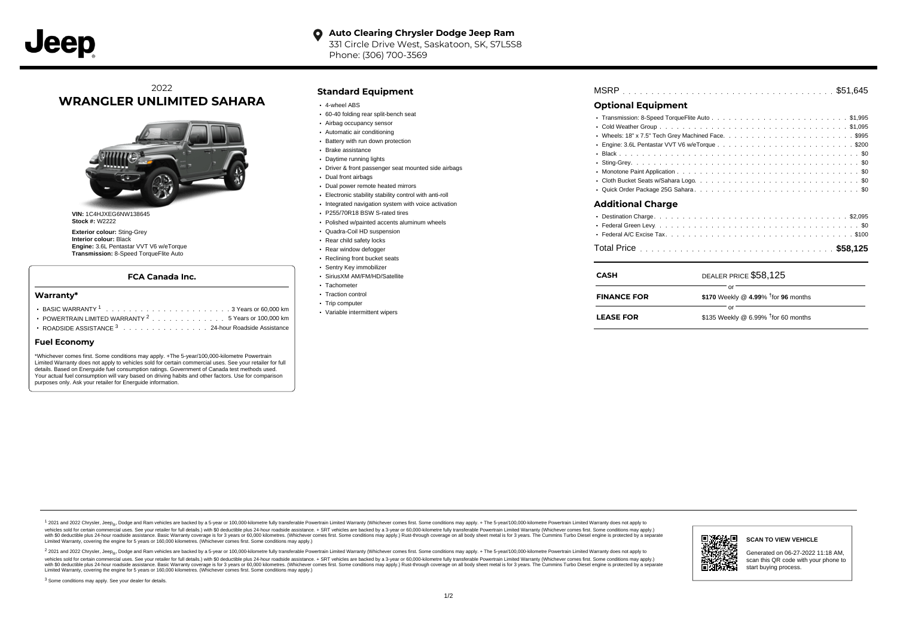#### **Auto Clearing Chrysler Dodge Jeep Ram**  $\bullet$ 331 Circle Drive West, Saskatoon, SK, S7L5S8

Phone: (306) 700-3569

## 2022 **WRANGLER UNLIMITED SAHARA**



**VIN:** 1C4HJXEG6NW138645 **Stock #:** W2222

**Exterior colour:** Sting-Grey **Interior colour:** Black **Engine:** 3.6L Pentastar VVT V6 w/eTorque **Transmission:** 8-Speed TorqueFlite Auto

#### **FCA Canada Inc.**

#### **Warranty\***

| POWERTRAIN LIMITED WARRANTY <sup>2</sup> 5 Years or 100,000 km |  |  |  |  |  |  |
|----------------------------------------------------------------|--|--|--|--|--|--|
| ROADSIDE ASSISTANCE 3 24-hour Roadside Assistance              |  |  |  |  |  |  |

#### **Fuel Economy**

\*Whichever comes first. Some conditions may apply. +The 5-year/100,000-kilometre Powertrain Limited Warranty does not apply to vehicles sold for certain commercial uses. See your retailer for full details. Based on Energuide fuel consumption ratings. Government of Canada test methods used. Your actual fuel consumption will vary based on driving habits and other factors. Use for comparison purposes only. Ask your retailer for Energuide information.

#### **Standard Equipment**

- 4-wheel ABS
- 60-40 folding rear split-bench seat
- Airbag occupancy sensor
- Automatic air conditioning
- Battery with run down protection
- Brake assistance
- Daytime running lights
- Driver & front passenger seat mounted side airbags
- Dual front airbags
- Dual power remote heated mirrors
- Electronic stability stability control with anti-roll
- Integrated navigation system with voice activation
- P255/70R18 BSW S-rated tires
- Polished w/painted accents aluminum wheels
- Quadra-Coil HD suspension
- Rear child safety locks
- Rear window defogger Reclining front bucket seats
- Sentry Key immobilizer
- SiriusXM AM/FM/HD/Satellite
- Tachometer
- Traction control
- Trip computer
- Variable intermittent wipers

# . . . . . . . . . . . . . . . . . . . . . . . . . . . . . . . . . . . . . . . . . . . . . . MSRP \$51,645

### **Optional Equipment**

| <b>Additional Charge</b> |  |
|--------------------------|--|
|                          |  |

| CASH               | DEALER PRICE \$58,125                  |
|--------------------|----------------------------------------|
| <b>FINANCE FOR</b> | \$170 Weekly @ 4.99% $†$ for 96 months |
| <b>LEASE FOR</b>   | \$135 Weekly @ 6.99% $†$ for 60 months |

1 2021 and 2022 Chrysler, Jeep<sub>en</sub> Dodge and Ram vehicles are backed by a 5-year or 100,000-kilometre fully transferable Powertrain Limited Warranty (Whichever comes first. Some conditions may apply. + The 5-year/100,000-k rebicles sold for certain commercial uses. See your retailer for full details) with S0 deductible plus 24-hour madside assistance. + SRT vehicles are backed by a 3-year or 60.000-kilometre fully transferable Powertrain Lim ventals and contract when the contract when the contract you contract when the contract when the control of the set of a set of a set of a set of 3 years of 60,000 kilometres. Whichever comes first. Some conditions may app Limited Warranty, covering the engine for 5 years or 160,000 kilometres. (Whichever comes first. Some conditions may apply.)

<sup>2</sup> 2021 and 2022 Chrysler, Jeep<sub>®</sub>, Dodge and Ram vehicles are backed by a 5-year or 100,000-kilometre fully transferable Powertrain Limited Warranty (Whichever comes first. Some conditions may apply. + The 5-year/100,000 vehicles sold for certain commercial uses. See your retailer for full details.) with SO deductible plus 24-hour roadside assistance. + SRT vehicles are backed by a 3-year or 60.000-kilometre fully transferable Powertrain L with S0 deductible plus 24-hour roadside assistance. Basic Warranty coverage is for 3 years or 60,000 kilometres. (Whichever comes first. Some conditions may apply.) Rust-through coverage on all body sheet metal is for 3 y



**SCAN TO VIEW VEHICLE**

Generated on 06-27-2022 11:18 AM, scan this QR code with your phone to start buying process.